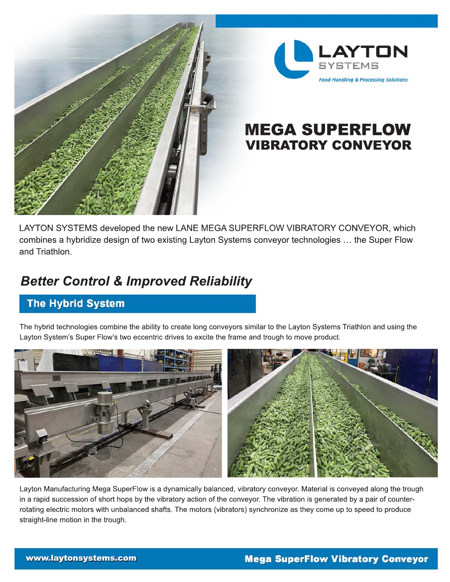



# VIBRATORY CONVEYOR MEGA SUPERFLOW

LAYTON SYSTEMS developed the new LANE MEGA SUPERFLOW VIBRATORY CONVEYOR, which combines a hybridize design of two existing Layton Systems conveyor technologies … the Super Flow and Triathlon.

# *Better Control & Improved Reliability*

### **The Hybrid System**

The hybrid technologies combine the ability to create long conveyors similar to the Layton Systems Triathlon and using the Layton System's Super Flow's two eccentric drives to excite the frame and trough to move product.



Layton Manufacturing Mega SuperFlow is a dynamically balanced, vibratory conveyor. Material is conveyed along the trough in a rapid succession of short hops by the vibratory action of the conveyor. The vibration is generated by a pair of counterrotating electric motors with unbalanced shafts. The motors (vibrators) synchronize as they come up to speed to produce straight-line motion in the trough.